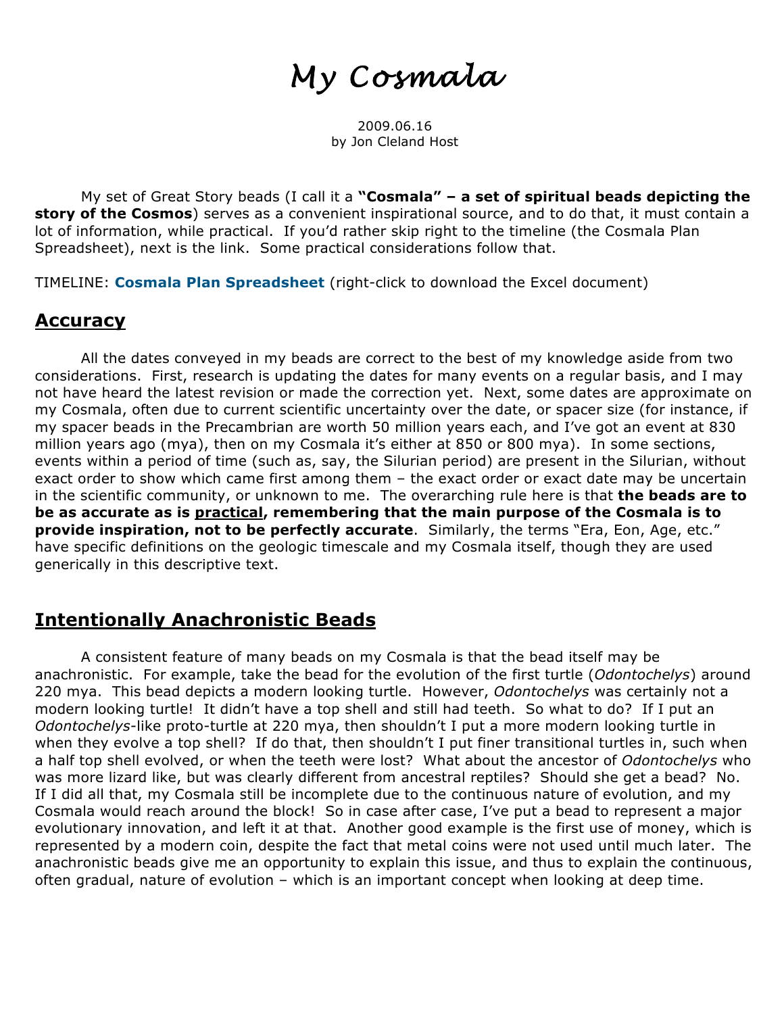# *My Cosmala*

2009.06.16 by Jon Cleland Host

My set of Great Story beads (I call it a **"Cosmala" – a set of spiritual beads depicting the story of the Cosmos**) serves as a convenient inspirational source, and to do that, it must contain a lot of information, while practical. If you'd rather skip right to the timeline (the Cosmala Plan Spreadsheet), next is the link. Some practical considerations follow that.

TIMELINE: **Cosmala Plan Spreadsheet** (right-click to download the Excel document)

#### **Accuracy**

All the dates conveyed in my beads are correct to the best of my knowledge aside from two considerations. First, research is updating the dates for many events on a regular basis, and I may not have heard the latest revision or made the correction yet. Next, some dates are approximate on my Cosmala, often due to current scientific uncertainty over the date, or spacer size (for instance, if my spacer beads in the Precambrian are worth 50 million years each, and I've got an event at 830 million years ago (mya), then on my Cosmala it's either at 850 or 800 mya). In some sections, events within a period of time (such as, say, the Silurian period) are present in the Silurian, without exact order to show which came first among them – the exact order or exact date may be uncertain in the scientific community, or unknown to me. The overarching rule here is that **the beads are to be as accurate as is practical, remembering that the main purpose of the Cosmala is to provide inspiration, not to be perfectly accurate**. Similarly, the terms "Era, Eon, Age, etc." have specific definitions on the geologic timescale and my Cosmala itself, though they are used generically in this descriptive text.

#### **Intentionally Anachronistic Beads**

A consistent feature of many beads on my Cosmala is that the bead itself may be anachronistic. For example, take the bead for the evolution of the first turtle (*Odontochelys*) around 220 mya. This bead depicts a modern looking turtle. However, *Odontochelys* was certainly not a modern looking turtle! It didn't have a top shell and still had teeth. So what to do? If I put an *Odontochelys*-like proto-turtle at 220 mya, then shouldn't I put a more modern looking turtle in when they evolve a top shell? If do that, then shouldn't I put finer transitional turtles in, such when a half top shell evolved, or when the teeth were lost? What about the ancestor of *Odontochelys* who was more lizard like, but was clearly different from ancestral reptiles? Should she get a bead? No. If I did all that, my Cosmala still be incomplete due to the continuous nature of evolution, and my Cosmala would reach around the block! So in case after case, I've put a bead to represent a major evolutionary innovation, and left it at that. Another good example is the first use of money, which is represented by a modern coin, despite the fact that metal coins were not used until much later. The anachronistic beads give me an opportunity to explain this issue, and thus to explain the continuous, often gradual, nature of evolution – which is an important concept when looking at deep time.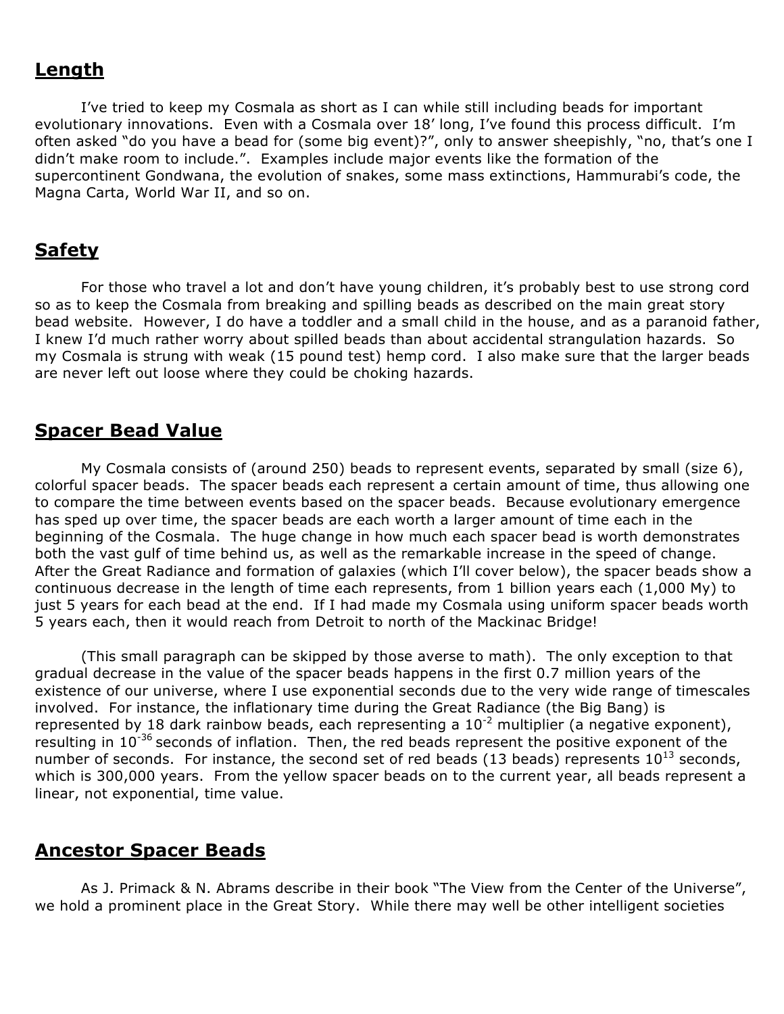#### **Length**

I've tried to keep my Cosmala as short as I can while still including beads for important evolutionary innovations. Even with a Cosmala over 18' long, I've found this process difficult. I'm often asked "do you have a bead for (some big event)?", only to answer sheepishly, "no, that's one I didn't make room to include.". Examples include major events like the formation of the supercontinent Gondwana, the evolution of snakes, some mass extinctions, Hammurabi's code, the Magna Carta, World War II, and so on.

#### **Safety**

For those who travel a lot and don't have young children, it's probably best to use strong cord so as to keep the Cosmala from breaking and spilling beads as described on the main great story bead website. However, I do have a toddler and a small child in the house, and as a paranoid father, I knew I'd much rather worry about spilled beads than about accidental strangulation hazards. So my Cosmala is strung with weak (15 pound test) hemp cord. I also make sure that the larger beads are never left out loose where they could be choking hazards.

#### **Spacer Bead Value**

My Cosmala consists of (around 250) beads to represent events, separated by small (size 6), colorful spacer beads. The spacer beads each represent a certain amount of time, thus allowing one to compare the time between events based on the spacer beads. Because evolutionary emergence has sped up over time, the spacer beads are each worth a larger amount of time each in the beginning of the Cosmala. The huge change in how much each spacer bead is worth demonstrates both the vast gulf of time behind us, as well as the remarkable increase in the speed of change. After the Great Radiance and formation of galaxies (which I'll cover below), the spacer beads show a continuous decrease in the length of time each represents, from 1 billion years each (1,000 My) to just 5 years for each bead at the end. If I had made my Cosmala using uniform spacer beads worth 5 years each, then it would reach from Detroit to north of the Mackinac Bridge!

(This small paragraph can be skipped by those averse to math). The only exception to that gradual decrease in the value of the spacer beads happens in the first 0.7 million years of the existence of our universe, where I use exponential seconds due to the very wide range of timescales involved. For instance, the inflationary time during the Great Radiance (the Big Bang) is represented by 18 dark rainbow beads, each representing a  $10^{-2}$  multiplier (a negative exponent), resulting in  $10^{-36}$  seconds of inflation. Then, the red beads represent the positive exponent of the number of seconds. For instance, the second set of red beads (13 beads) represents  $10^{13}$  seconds, which is 300,000 years. From the yellow spacer beads on to the current year, all beads represent a linear, not exponential, time value.

#### **Ancestor Spacer Beads**

As J. Primack & N. Abrams describe in their book "The View from the Center of the Universe", we hold a prominent place in the Great Story. While there may well be other intelligent societies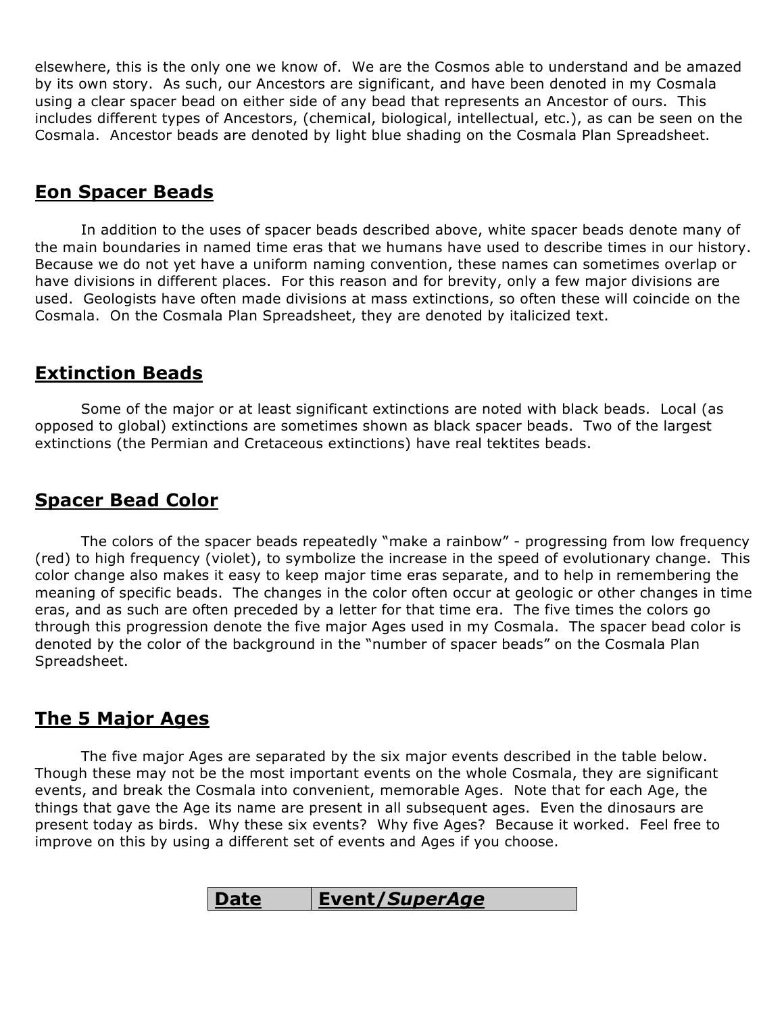elsewhere, this is the only one we know of. We are the Cosmos able to understand and be amazed by its own story. As such, our Ancestors are significant, and have been denoted in my Cosmala using a clear spacer bead on either side of any bead that represents an Ancestor of ours. This includes different types of Ancestors, (chemical, biological, intellectual, etc.), as can be seen on the Cosmala. Ancestor beads are denoted by light blue shading on the Cosmala Plan Spreadsheet.

#### **Eon Spacer Beads**

In addition to the uses of spacer beads described above, white spacer beads denote many of the main boundaries in named time eras that we humans have used to describe times in our history. Because we do not yet have a uniform naming convention, these names can sometimes overlap or have divisions in different places. For this reason and for brevity, only a few major divisions are used. Geologists have often made divisions at mass extinctions, so often these will coincide on the Cosmala. On the Cosmala Plan Spreadsheet, they are denoted by italicized text.

#### **Extinction Beads**

Some of the major or at least significant extinctions are noted with black beads. Local (as opposed to global) extinctions are sometimes shown as black spacer beads. Two of the largest extinctions (the Permian and Cretaceous extinctions) have real tektites beads.

## **Spacer Bead Color**

The colors of the spacer beads repeatedly "make a rainbow" - progressing from low frequency (red) to high frequency (violet), to symbolize the increase in the speed of evolutionary change. This color change also makes it easy to keep major time eras separate, and to help in remembering the meaning of specific beads. The changes in the color often occur at geologic or other changes in time eras, and as such are often preceded by a letter for that time era. The five times the colors go through this progression denote the five major Ages used in my Cosmala. The spacer bead color is denoted by the color of the background in the "number of spacer beads" on the Cosmala Plan Spreadsheet.

## **The 5 Major Ages**

The five major Ages are separated by the six major events described in the table below. Though these may not be the most important events on the whole Cosmala, they are significant events, and break the Cosmala into convenient, memorable Ages. Note that for each Age, the things that gave the Age its name are present in all subsequent ages. Even the dinosaurs are present today as birds. Why these six events? Why five Ages? Because it worked. Feel free to improve on this by using a different set of events and Ages if you choose.

| <b>Date</b> | Event/SuperAge |
|-------------|----------------|
|-------------|----------------|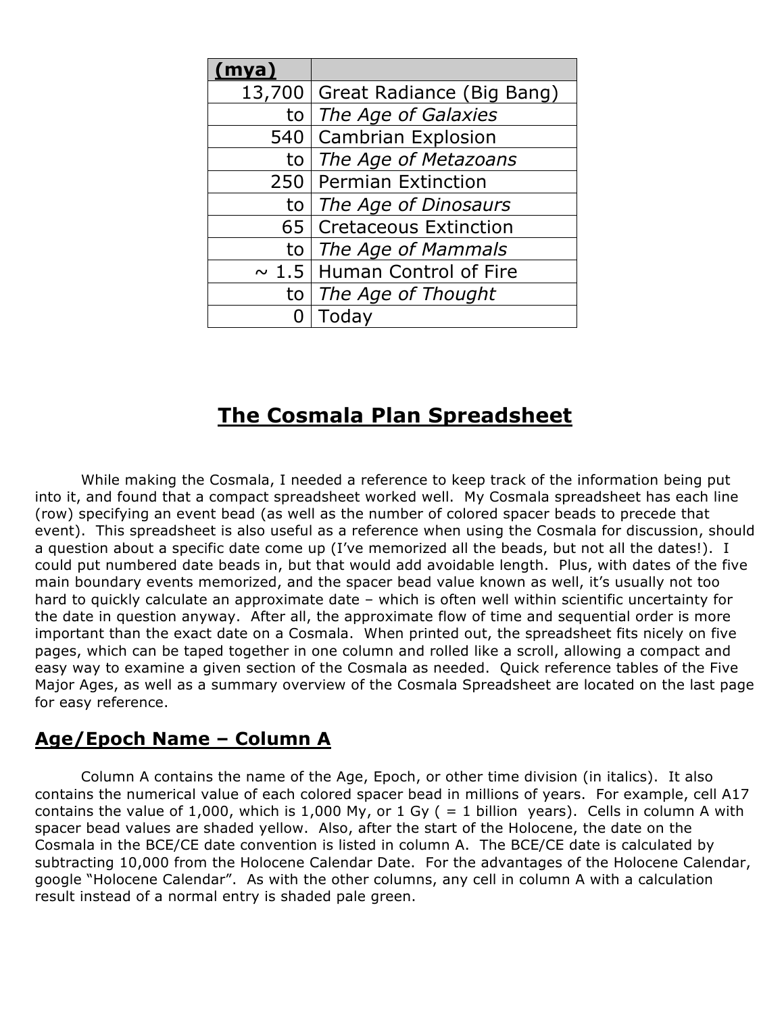| (mya)      |                              |
|------------|------------------------------|
| 13,700     | Great Radiance (Big Bang)    |
| to         | The Age of Galaxies          |
| 540 l      | <b>Cambrian Explosion</b>    |
| to         | The Age of Metazoans         |
| 250        | <b>Permian Extinction</b>    |
| to         | The Age of Dinosaurs         |
| 65         | <b>Cretaceous Extinction</b> |
| to         | The Age of Mammals           |
| $\sim 1.5$ | Human Control of Fire        |
| to         | The Age of Thought           |
|            | Today                        |

# **The Cosmala Plan Spreadsheet**

While making the Cosmala, I needed a reference to keep track of the information being put into it, and found that a compact spreadsheet worked well. My Cosmala spreadsheet has each line (row) specifying an event bead (as well as the number of colored spacer beads to precede that event). This spreadsheet is also useful as a reference when using the Cosmala for discussion, should a question about a specific date come up (I've memorized all the beads, but not all the dates!). I could put numbered date beads in, but that would add avoidable length. Plus, with dates of the five main boundary events memorized, and the spacer bead value known as well, it's usually not too hard to quickly calculate an approximate date – which is often well within scientific uncertainty for the date in question anyway. After all, the approximate flow of time and sequential order is more important than the exact date on a Cosmala. When printed out, the spreadsheet fits nicely on five pages, which can be taped together in one column and rolled like a scroll, allowing a compact and easy way to examine a given section of the Cosmala as needed. Quick reference tables of the Five Major Ages, as well as a summary overview of the Cosmala Spreadsheet are located on the last page for easy reference.

#### **Age/Epoch Name – Column A**

Column A contains the name of the Age, Epoch, or other time division (in italics). It also contains the numerical value of each colored spacer bead in millions of years. For example, cell A17 contains the value of 1,000, which is 1,000 My, or 1 Gy ( = 1 billion years). Cells in column A with spacer bead values are shaded yellow. Also, after the start of the Holocene, the date on the Cosmala in the BCE/CE date convention is listed in column A. The BCE/CE date is calculated by subtracting 10,000 from the Holocene Calendar Date. For the advantages of the Holocene Calendar, google "Holocene Calendar". As with the other columns, any cell in column A with a calculation result instead of a normal entry is shaded pale green.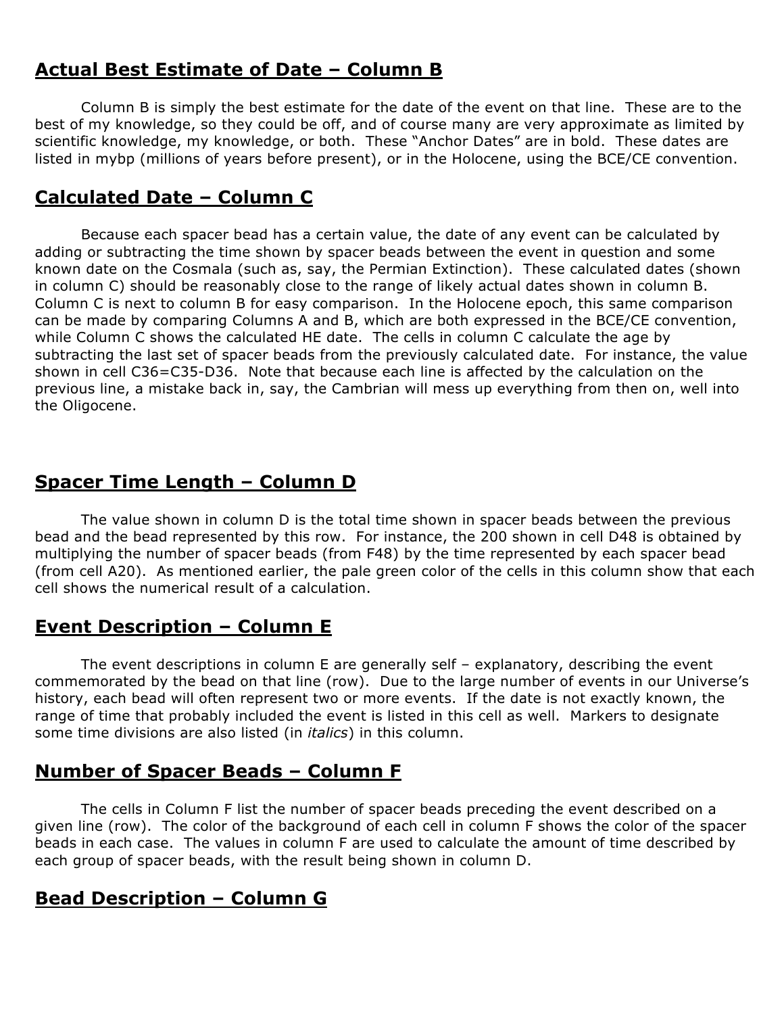## **Actual Best Estimate of Date – Column B**

Column B is simply the best estimate for the date of the event on that line. These are to the best of my knowledge, so they could be off, and of course many are very approximate as limited by scientific knowledge, my knowledge, or both. These "Anchor Dates" are in bold. These dates are listed in mybp (millions of years before present), or in the Holocene, using the BCE/CE convention.

## **Calculated Date – Column C**

Because each spacer bead has a certain value, the date of any event can be calculated by adding or subtracting the time shown by spacer beads between the event in question and some known date on the Cosmala (such as, say, the Permian Extinction). These calculated dates (shown in column C) should be reasonably close to the range of likely actual dates shown in column B. Column C is next to column B for easy comparison. In the Holocene epoch, this same comparison can be made by comparing Columns A and B, which are both expressed in the BCE/CE convention, while Column C shows the calculated HE date. The cells in column C calculate the age by subtracting the last set of spacer beads from the previously calculated date. For instance, the value shown in cell C36=C35-D36. Note that because each line is affected by the calculation on the previous line, a mistake back in, say, the Cambrian will mess up everything from then on, well into the Oligocene.

# **Spacer Time Length – Column D**

The value shown in column D is the total time shown in spacer beads between the previous bead and the bead represented by this row. For instance, the 200 shown in cell D48 is obtained by multiplying the number of spacer beads (from F48) by the time represented by each spacer bead (from cell A20). As mentioned earlier, the pale green color of the cells in this column show that each cell shows the numerical result of a calculation.

## **Event Description – Column E**

The event descriptions in column E are generally self – explanatory, describing the event commemorated by the bead on that line (row). Due to the large number of events in our Universe's history, each bead will often represent two or more events. If the date is not exactly known, the range of time that probably included the event is listed in this cell as well. Markers to designate some time divisions are also listed (in *italics*) in this column.

## **Number of Spacer Beads – Column F**

The cells in Column F list the number of spacer beads preceding the event described on a given line (row). The color of the background of each cell in column F shows the color of the spacer beads in each case. The values in column F are used to calculate the amount of time described by each group of spacer beads, with the result being shown in column D.

# **Bead Description – Column G**